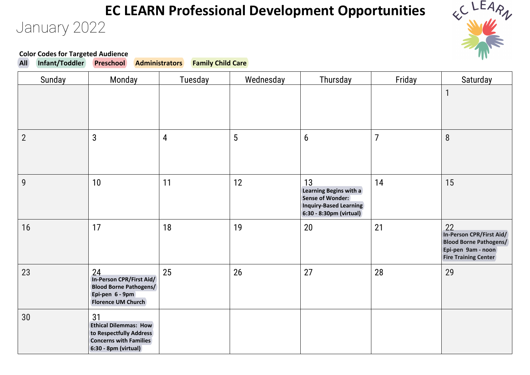#### January 2022 **EC LEARN Professional Development Opportunities**



# **Color Codes for Targeted Audience<br>All Infant/Toddler Preschool**

**All Infant/Toddler Preschool Administrators Family Child Care**

| Sunday         | Monday                                                                                                                 | Tuesday        | Wednesday | Thursday                                                                                                     | Friday | Saturday                                                                                                             |
|----------------|------------------------------------------------------------------------------------------------------------------------|----------------|-----------|--------------------------------------------------------------------------------------------------------------|--------|----------------------------------------------------------------------------------------------------------------------|
|                |                                                                                                                        |                |           |                                                                                                              |        | $\mathbf{1}$                                                                                                         |
| $\overline{2}$ | 3                                                                                                                      | $\overline{4}$ | 5         | $6\phantom{1}6$                                                                                              | 7      | 8                                                                                                                    |
| 9              | 10                                                                                                                     | 11             | 12        | 13<br>Learning Begins with a<br><b>Sense of Wonder:</b><br>Inquiry-Based Learning<br>6:30 - 8:30pm (virtual) | 14     | 15                                                                                                                   |
| 16             | 17                                                                                                                     | 18             | 19        | 20                                                                                                           | 21     | 22<br>In-Person CPR/First Aid/<br><b>Blood Borne Pathogens/</b><br>Epi-pen 9am - noon<br><b>Fire Training Center</b> |
| 23             | 24<br>In-Person CPR/First Aid/<br><b>Blood Borne Pathogens/</b><br>Epi-pen 6 - 9pm<br><b>Florence UM Church</b>        | 25             | 26        | 27                                                                                                           | 28     | 29                                                                                                                   |
| 30             | 31<br><b>Ethical Dilemmas: How</b><br>to Respectfully Address<br><b>Concerns with Families</b><br>6:30 - 8pm (virtual) |                |           |                                                                                                              |        |                                                                                                                      |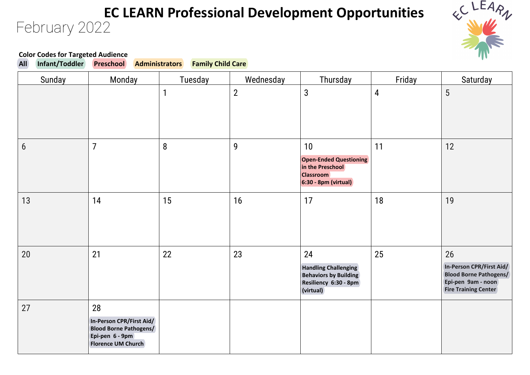#### February 2022 **EC LEARN Professional Development Opportunities**



### **Color Codes for Targeted Audience<br>All Infant/Toddler Preschool**

**All Infant/Toddler Preschool Administrators Family Child Care**

| Sunday           | Monday                                                                                                          | Tuesday | Wednesday    | Thursday                                                                                                | Friday | Saturday                                                                                                             |
|------------------|-----------------------------------------------------------------------------------------------------------------|---------|--------------|---------------------------------------------------------------------------------------------------------|--------|----------------------------------------------------------------------------------------------------------------------|
|                  |                                                                                                                 | 1       | $\mathbf{2}$ | $\mathbf{3}$                                                                                            | 4      | 5                                                                                                                    |
| $\boldsymbol{6}$ | $\overline{7}$                                                                                                  | 8       | 9            | 10<br><b>Open-Ended Questioning</b><br>in the Preschool<br><b>Classroom</b><br>$6:30 - 8pm$ (virtual)   | 11     | 12                                                                                                                   |
| 13               | 14                                                                                                              | 15      | 16           | 17                                                                                                      | 18     | 19                                                                                                                   |
| 20               | 21                                                                                                              | 22      | 23           | 24<br><b>Handling Challenging</b><br><b>Behaviors by Building</b><br>Resiliency 6:30 - 8pm<br>(virtual) | 25     | 26<br>In-Person CPR/First Aid/<br><b>Blood Borne Pathogens/</b><br>Epi-pen 9am - noon<br><b>Fire Training Center</b> |
| 27               | 28<br>In-Person CPR/First Aid/<br><b>Blood Borne Pathogens/</b><br>Epi-pen 6 - 9pm<br><b>Florence UM Church</b> |         |              |                                                                                                         |        |                                                                                                                      |